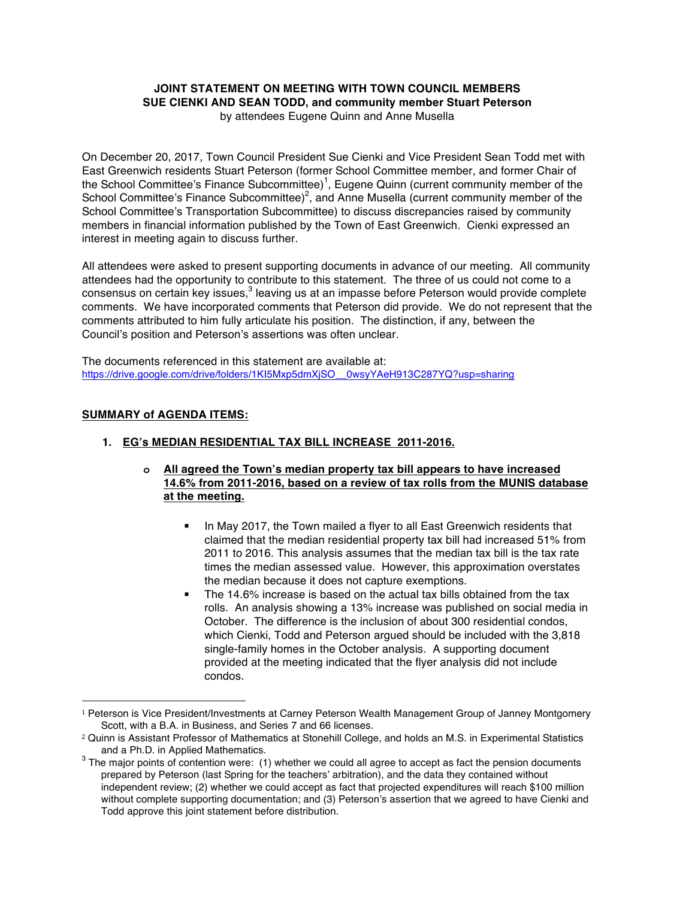## **JOINT STATEMENT ON MEETING WITH TOWN COUNCIL MEMBERS SUE CIENKI AND SEAN TODD, and community member Stuart Peterson** by attendees Eugene Quinn and Anne Musella

On December 20, 2017, Town Council President Sue Cienki and Vice President Sean Todd met with East Greenwich residents Stuart Peterson (former School Committee member, and former Chair of the School Committee's Finance Subcommittee)<sup>1</sup>, Eugene Quinn (current community member of the School Committee's Finance Subcommittee)<sup>2</sup>, and Anne Musella (current community member of the School Committee's Transportation Subcommittee) to discuss discrepancies raised by community members in financial information published by the Town of East Greenwich. Cienki expressed an interest in meeting again to discuss further.

All attendees were asked to present supporting documents in advance of our meeting. All community attendees had the opportunity to contribute to this statement. The three of us could not come to a consensus on certain key issues,<sup>3</sup> leaving us at an impasse before Peterson would provide complete comments. We have incorporated comments that Peterson did provide. We do not represent that the comments attributed to him fully articulate his position. The distinction, if any, between the Council's position and Peterson's assertions was often unclear.

The documents referenced in this statement are available at: https://drive.google.com/drive/folders/1KI5Mxp5dmXjSO\_\_0wsyYAeH913C287YQ?usp=sharing

## **SUMMARY of AGENDA ITEMS:**

 

## **1. EG's MEDIAN RESIDENTIAL TAX BILL INCREASE 2011-2016.**

## **o All agreed the Town's median property tax bill appears to have increased 14.6% from 2011-2016, based on a review of tax rolls from the MUNIS database at the meeting.**

- In May 2017, the Town mailed a flyer to all East Greenwich residents that claimed that the median residential property tax bill had increased 51% from 2011 to 2016. This analysis assumes that the median tax bill is the tax rate times the median assessed value. However, this approximation overstates the median because it does not capture exemptions.
- The 14.6% increase is based on the actual tax bills obtained from the tax rolls. An analysis showing a 13% increase was published on social media in October. The difference is the inclusion of about 300 residential condos, which Cienki, Todd and Peterson argued should be included with the 3,818 single-family homes in the October analysis. A supporting document provided at the meeting indicated that the flyer analysis did not include condos.

<sup>1</sup> Peterson is Vice President/Investments at Carney Peterson Wealth Management Group of Janney Montgomery Scott, with a B.A. in Business, and Series 7 and 66 licenses.

<sup>2</sup> Quinn is Assistant Professor of Mathematics at Stonehill College, and holds an M.S. in Experimental Statistics

and a Ph.D. in Applied Mathematics.<br><sup>3</sup> The major points of contention were: (1) whether we could all agree to accept as fact the pension documents prepared by Peterson (last Spring for the teachers' arbitration), and the data they contained without independent review; (2) whether we could accept as fact that projected expenditures will reach \$100 million without complete supporting documentation; and (3) Peterson's assertion that we agreed to have Cienki and Todd approve this joint statement before distribution.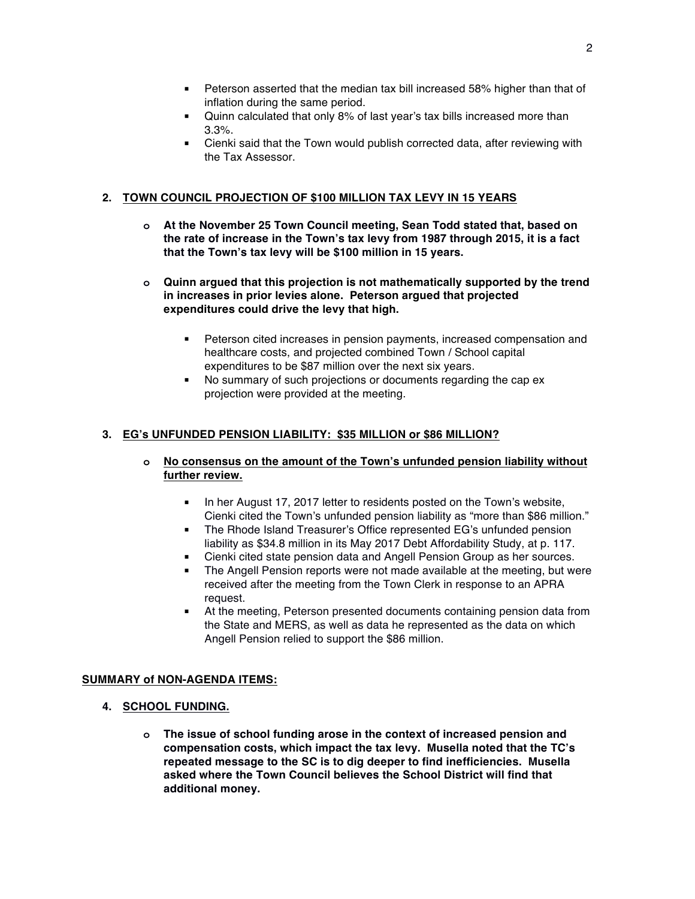- Peterson asserted that the median tax bill increased 58% higher than that of inflation during the same period.
- § Quinn calculated that only 8% of last year's tax bills increased more than 3.3%.
- Cienki said that the Town would publish corrected data, after reviewing with the Tax Assessor.

# **2. TOWN COUNCIL PROJECTION OF \$100 MILLION TAX LEVY IN 15 YEARS**

- **o At the November 25 Town Council meeting, Sean Todd stated that, based on the rate of increase in the Town's tax levy from 1987 through 2015, it is a fact that the Town's tax levy will be \$100 million in 15 years.**
- **o Quinn argued that this projection is not mathematically supported by the trend in increases in prior levies alone. Peterson argued that projected expenditures could drive the levy that high.**
	- Peterson cited increases in pension payments, increased compensation and healthcare costs, and projected combined Town / School capital expenditures to be \$87 million over the next six years.
	- No summary of such projections or documents regarding the cap ex projection were provided at the meeting.

# **3. EG's UNFUNDED PENSION LIABILITY: \$35 MILLION or \$86 MILLION?**

- **o No consensus on the amount of the Town's unfunded pension liability without further review.**
	- In her August 17, 2017 letter to residents posted on the Town's website, Cienki cited the Town's unfunded pension liability as "more than \$86 million."
	- The Rhode Island Treasurer's Office represented EG's unfunded pension liability as \$34.8 million in its May 2017 Debt Affordability Study, at p. 117.
	- § Cienki cited state pension data and Angell Pension Group as her sources.
	- The Angell Pension reports were not made available at the meeting, but were received after the meeting from the Town Clerk in response to an APRA request.
	- At the meeting, Peterson presented documents containing pension data from the State and MERS, as well as data he represented as the data on which Angell Pension relied to support the \$86 million.

# **SUMMARY of NON-AGENDA ITEMS:**

- **4. SCHOOL FUNDING.**
	- **o The issue of school funding arose in the context of increased pension and compensation costs, which impact the tax levy. Musella noted that the TC's repeated message to the SC is to dig deeper to find inefficiencies. Musella asked where the Town Council believes the School District will find that additional money.**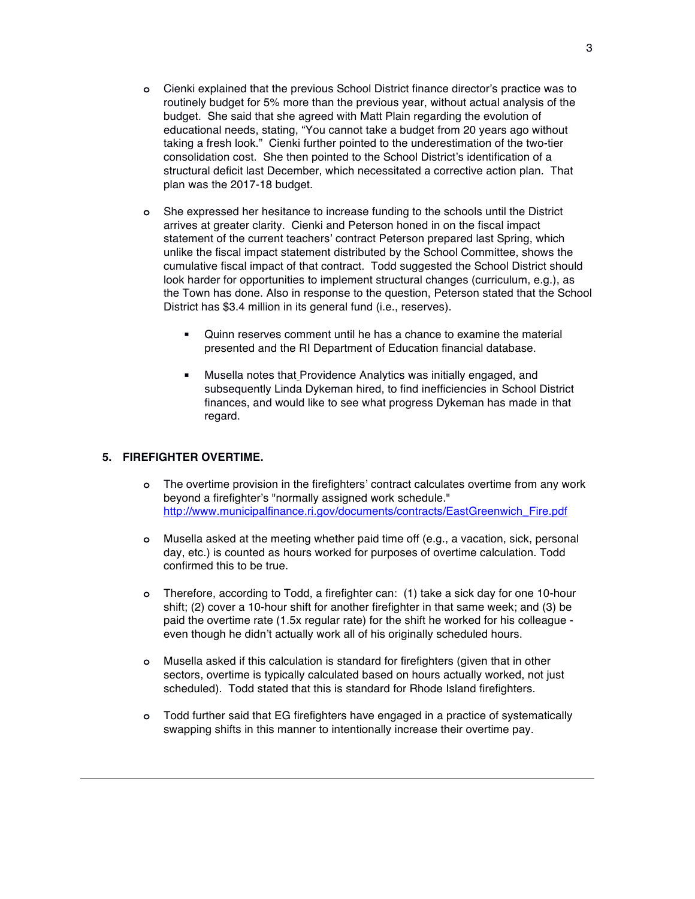- **o** Cienki explained that the previous School District finance director's practice was to routinely budget for 5% more than the previous year, without actual analysis of the budget. She said that she agreed with Matt Plain regarding the evolution of educational needs, stating, "You cannot take a budget from 20 years ago without taking a fresh look." Cienki further pointed to the underestimation of the two-tier consolidation cost. She then pointed to the School District's identification of a structural deficit last December, which necessitated a corrective action plan. That plan was the 2017-18 budget.
- **o** She expressed her hesitance to increase funding to the schools until the District arrives at greater clarity. Cienki and Peterson honed in on the fiscal impact statement of the current teachers' contract Peterson prepared last Spring, which unlike the fiscal impact statement distributed by the School Committee, shows the cumulative fiscal impact of that contract. Todd suggested the School District should look harder for opportunities to implement structural changes (curriculum, e.g.), as the Town has done. Also in response to the question, Peterson stated that the School District has \$3.4 million in its general fund (i.e., reserves).
	- § Quinn reserves comment until he has a chance to examine the material presented and the RI Department of Education financial database.
	- § Musella notes that Providence Analytics was initially engaged, and subsequently Linda Dykeman hired, to find inefficiencies in School District finances, and would like to see what progress Dykeman has made in that regard.

# **5. FIREFIGHTER OVERTIME.**

- **o** The overtime provision in the firefighters' contract calculates overtime from any work beyond a firefighter's "normally assigned work schedule." http://www.municipalfinance.ri.gov/documents/contracts/EastGreenwich\_Fire.pdf
- **o** Musella asked at the meeting whether paid time off (e.g., a vacation, sick, personal day, etc.) is counted as hours worked for purposes of overtime calculation. Todd confirmed this to be true.
- **o** Therefore, according to Todd, a firefighter can: (1) take a sick day for one 10-hour shift; (2) cover a 10-hour shift for another firefighter in that same week; and (3) be paid the overtime rate (1.5x regular rate) for the shift he worked for his colleague even though he didn't actually work all of his originally scheduled hours.
- **o** Musella asked if this calculation is standard for firefighters (given that in other sectors, overtime is typically calculated based on hours actually worked, not just scheduled). Todd stated that this is standard for Rhode Island firefighters.
- **o** Todd further said that EG firefighters have engaged in a practice of systematically swapping shifts in this manner to intentionally increase their overtime pay.